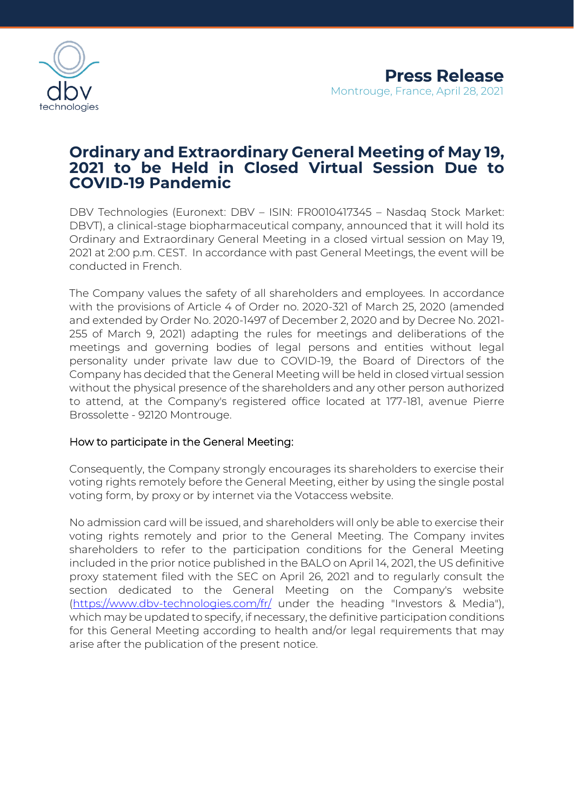

# **Ordinary and Extraordinary General Meeting of May 19, 2021 to be Held in Closed Virtual Session Due to COVID-19 Pandemic**

DBV Technologies (Euronext: DBV – ISIN: FR0010417345 – Nasdaq Stock Market: DBVT), a clinical-stage biopharmaceutical company, announced that it will hold its Ordinary and Extraordinary General Meeting in a closed virtual session on May 19, 2021 at 2:00 p.m. CEST. In accordance with past General Meetings, the event will be conducted in French.

The Company values the safety of all shareholders and employees. In accordance with the provisions of Article 4 of Order no. 2020-321 of March 25, 2020 (amended and extended by Order No. 2020-1497 of December 2, 2020 and by Decree No. 2021- 255 of March 9, 2021) adapting the rules for meetings and deliberations of the meetings and governing bodies of legal persons and entities without legal personality under private law due to COVID-19, the Board of Directors of the Company has decided that the General Meeting will be held in closed virtual session without the physical presence of the shareholders and any other person authorized to attend, at the Company's registered office located at 177-181, avenue Pierre Brossolette - 92120 Montrouge.

### How to participate in the General Meeting:

Consequently, the Company strongly encourages its shareholders to exercise their voting rights remotely before the General Meeting, either by using the single postal voting form, by proxy or by internet via the Votaccess website.

No admission card will be issued, and shareholders will only be able to exercise their voting rights remotely and prior to the General Meeting. The Company invites shareholders to refer to the participation conditions for the General Meeting included in the prior notice published in the BALO on April 14, 2021, the US definitive proxy statement filed with the SEC on April 26, 2021 and to regularly consult the section dedicated to the General Meeting on the Company's website [\(https://www.dbv-technologies.com/fr/](https://www.dbv-technologies.com/fr/) under the heading "Investors & Media"), which may be updated to specify, if necessary, the definitive participation conditions for this General Meeting according to health and/or legal requirements that may arise after the publication of the present notice.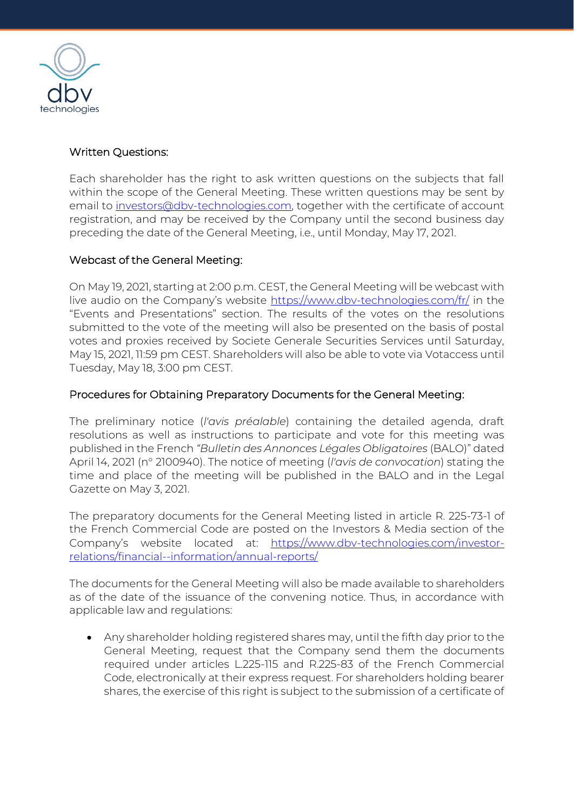

# Written Questions:

Each shareholder has the right to ask written questions on the subjects that fall within the scope of the General Meeting. These written questions may be sent by email to [investors@dbv-technologies.com,](mailto:investors@dbv-technologies.com) together with the certificate of account registration, and may be received by the Company until the second business day preceding the date of the General Meeting, i.e., until Monday, May 17, 2021.

# Webcast of the General Meeting:

On May 19, 2021, starting at 2:00 p.m. CEST, the General Meeting will be webcast with live audio on the Company's website<https://www.dbv-technologies.com/fr/> in the "Events and Presentations" section. The results of the votes on the resolutions submitted to the vote of the meeting will also be presented on the basis of postal votes and proxies received by Societe Generale Securities Services until Saturday, May 15, 2021, 11:59 pm CEST. Shareholders will also be able to vote via Votaccess until Tuesday, May 18, 3:00 pm CEST.

# Procedures for Obtaining Preparatory Documents for the General Meeting:

The preliminary notice (*l'avis préalable*) containing the detailed agenda, draft resolutions as well as instructions to participate and vote for this meeting was published in the French *"Bulletin des Annonces Légales Obligatoires* (BALO)" dated April 14, 2021 (n° 2100940). The notice of meeting (*l'avis de convocation*) stating the time and place of the meeting will be published in the BALO and in the Legal Gazette on May 3, 2021.

The preparatory documents for the General Meeting listed in article R. 225-73-1 of the French Commercial Code are posted on the Investors & Media section of the Company's website located at: [https://www.dbv-technologies.com/investor](https://www.dbv-technologies.com/investor-relations/financial-information/annual-reports/)[relations/financial--information/annual-reports/](https://www.dbv-technologies.com/investor-relations/financial-information/annual-reports/)

The documents for the General Meeting will also be made available to shareholders as of the date of the issuance of the convening notice. Thus, in accordance with applicable law and regulations:

• Any shareholder holding registered shares may, until the fifth day prior to the General Meeting, request that the Company send them the documents required under articles L.225-115 and R.225-83 of the French Commercial Code, electronically at their express request. For shareholders holding bearer shares, the exercise of this right is subject to the submission of a certificate of